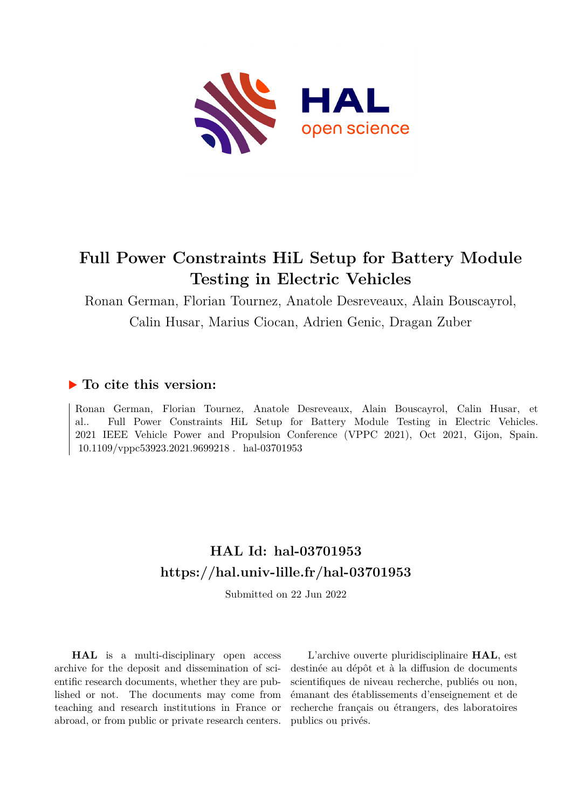

## **Full Power Constraints HiL Setup for Battery Module Testing in Electric Vehicles**

Ronan German, Florian Tournez, Anatole Desreveaux, Alain Bouscayrol, Calin Husar, Marius Ciocan, Adrien Genic, Dragan Zuber

### **To cite this version:**

Ronan German, Florian Tournez, Anatole Desreveaux, Alain Bouscayrol, Calin Husar, et al.. Full Power Constraints HiL Setup for Battery Module Testing in Electric Vehicles. 2021 IEEE Vehicle Power and Propulsion Conference (VPPC 2021), Oct 2021, Gijon, Spain. 10.1109/vppc53923.2021.9699218. hal-03701953

## **HAL Id: hal-03701953 <https://hal.univ-lille.fr/hal-03701953>**

Submitted on 22 Jun 2022

**HAL** is a multi-disciplinary open access archive for the deposit and dissemination of scientific research documents, whether they are published or not. The documents may come from teaching and research institutions in France or abroad, or from public or private research centers.

L'archive ouverte pluridisciplinaire **HAL**, est destinée au dépôt et à la diffusion de documents scientifiques de niveau recherche, publiés ou non, émanant des établissements d'enseignement et de recherche français ou étrangers, des laboratoires publics ou privés.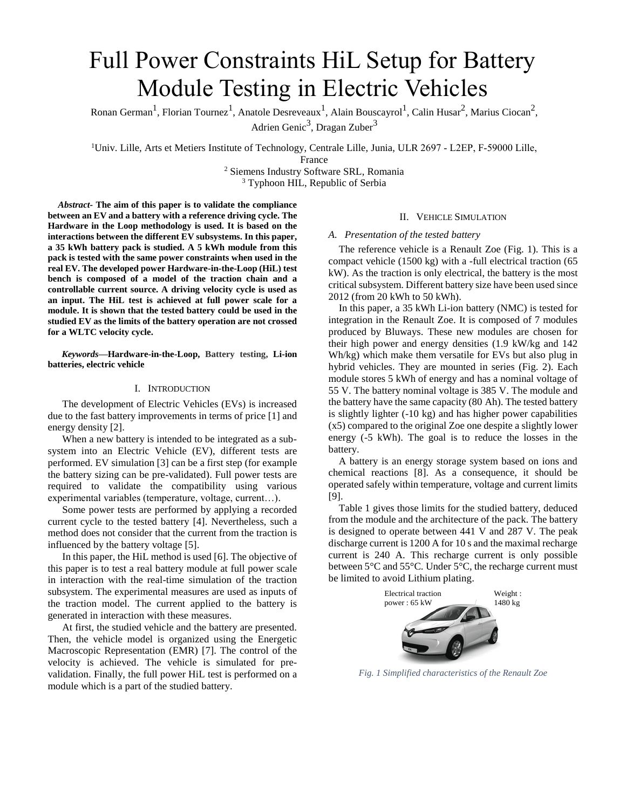# Full Power Constraints HiL Setup for Battery Module Testing in Electric Vehicles

Ronan German<sup>1</sup>, Florian Tournez<sup>1</sup>, Anatole Desreveaux<sup>1</sup>, Alain Bouscayrol<sup>1</sup>, Calin Husar<sup>2</sup>, Marius Ciocan<sup>2</sup>, Adrien Genic<sup>3</sup>, Dragan Zuber<sup>3</sup>

<sup>1</sup>Univ. Lille, Arts et Metiers Institute of Technology, Centrale Lille, Junia, ULR 2697 ‐ L2EP, F‐59000 Lille,

<sup>2</sup> Siemens Industry Software SRL, Romania <sup>3</sup> Typhoon HIL, Republic of Serbia

*Abstract-* **The aim of this paper is to validate the compliance between an EV and a battery with a reference driving cycle. The Hardware in the Loop methodology is used. It is based on the interactions between the different EV subsystems. In this paper, a 35 kWh battery pack is studied. A 5 kWh module from this pack is tested with the same power constraints when used in the real EV. The developed power Hardware-in-the-Loop (HiL) test bench is composed of a model of the traction chain and a controllable current source. A driving velocity cycle is used as an input. The HiL test is achieved at full power scale for a module. It is shown that the tested battery could be used in the studied EV as the limits of the battery operation are not crossed for a WLTC velocity cycle.** 

*Keywords—***Hardware-in-the-Loop, Battery testing, Li-ion batteries, electric vehicle**

#### I. INTRODUCTION

The development of Electric Vehicles (EVs) is increased due to the fast battery improvements in terms of price [\[1\]](#page-5-0) and energy density [\[2\].](#page-5-1)

When a new battery is intended to be integrated as a subsystem into an Electric Vehicle (EV), different tests are performed. EV simulation [\[3\]](#page-5-2) can be a first step (for example the battery sizing can be pre-validated). Full power tests are required to validate the compatibility using various experimental variables (temperature, voltage, current…).

Some power tests are performed by applying a recorded current cycle to the tested battery [\[4\].](#page-5-3) Nevertheless, such a method does not consider that the current from the traction is influenced by the battery voltage [\[5\].](#page-5-4)

In this paper, the HiL method is used [\[6\].](#page-5-5) The objective of this paper is to test a real battery module at full power scale in interaction with the real-time simulation of the traction subsystem. The experimental measures are used as inputs of the traction model. The current applied to the battery is generated in interaction with these measures.

At first, the studied vehicle and the battery are presented. Then, the vehicle model is organized using the Energetic Macroscopic Representation (EMR) [\[7\].](#page-5-6) The control of the velocity is achieved. The vehicle is simulated for prevalidation. Finally, the full power HiL test is performed on a module which is a part of the studied battery.

#### II. VEHICLE SIMULATION

#### *A. Presentation of the tested battery*

The reference vehicle is a Renault Zoe [\(Fig. 1\)](#page-1-0). This is a compact vehicle (1500 kg) with a -full electrical traction (65 kW). As the traction is only electrical, the battery is the most critical subsystem. Different battery size have been used since 2012 (from 20 kWh to 50 kWh).

In this paper, a 35 kWh Li-ion battery (NMC) is tested for integration in the Renault Zoe. It is composed of 7 modules produced by Bluways. These new modules are chosen for their high power and energy densities (1.9 kW/kg and 142 Wh/kg) which make them versatile for EVs but also plug in hybrid vehicles. They are mounted in series [\(Fig. 2\)](#page-2-0). Each module stores 5 kWh of energy and has a nominal voltage of 55 V. The battery nominal voltage is 385 V. The module and the battery have the same capacity (80 Ah). The tested battery is slightly lighter (-10 kg) and has higher power capabilities (x5) compared to the original Zoe one despite a slightly lower energy (-5 kWh). The goal is to reduce the losses in the battery.

A battery is an energy storage system based on ions and chemical reactions [\[8\].](#page-5-7) As a consequence, it should be operated safely within temperature, voltage and current limits [\[9\].](#page-5-8)

[Table 1](#page-2-1) gives those limits for the studied battery, deduced from the module and the architecture of the pack. The battery is designed to operate between 441 V and 287 V. The peak discharge current is 1200 A for 10 s and the maximal recharge current is 240 A. This recharge current is only possible between 5°C and 55°C. Under 5°C, the recharge current must be limited to avoid Lithium plating.

<span id="page-1-0"></span>

*Fig. 1 Simplified characteristics of the Renault Zoe*

France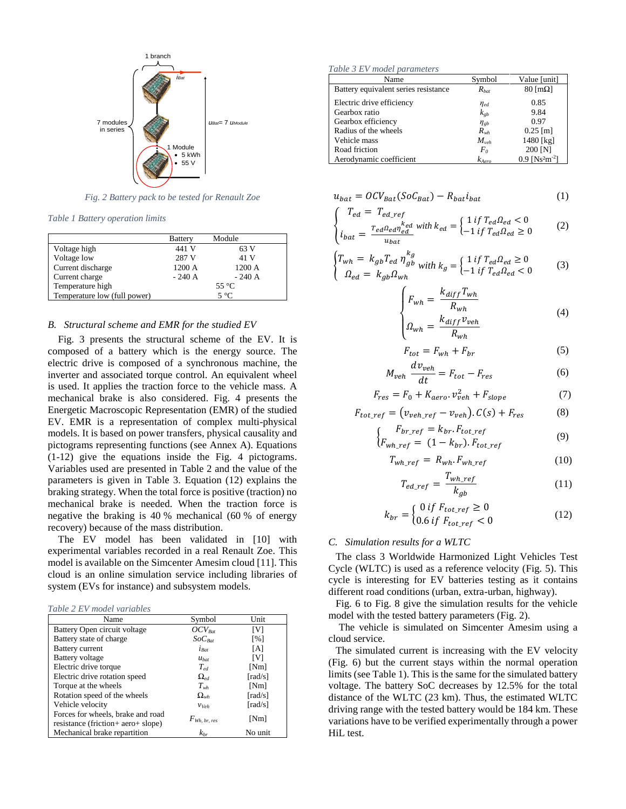

*Fig. 2 Battery pack to be tested for Renault Zoe*

<span id="page-2-1"></span><span id="page-2-0"></span>*Table 1 Battery operation limits* 

|                              | <b>Battery</b> | Module  |
|------------------------------|----------------|---------|
| Voltage high                 | 441 V          | 63 V    |
| Voltage low                  | 287 V          | 41 V    |
| Current discharge            | 1200 A         | 1200 A  |
| Current charge               | $-240A$        | $-240A$ |
| Temperature high             | $55^{\circ}$ C |         |
| Temperature low (full power) | $5^{\circ}$ C  |         |

#### *B. Structural scheme and EMR for the studied EV*

[Fig. 3](#page-3-0) presents the structural scheme of the EV. It is composed of a battery which is the energy source. The electric drive is composed of a synchronous machine, the inverter and associated torque control. An equivalent wheel is used. It applies the traction force to the vehicle mass. A mechanical brake is also considered. [Fig. 4](#page-3-1) presents the Energetic Macroscopic Representation (EMR) of the studied EV. EMR is a representation of complex multi-physical models. It is based on power transfers, physical causality and pictograms representing functions (see Annex A). Equations (1-12) give the equations inside the [Fig. 4](#page-3-1) pictograms. Variables used are presented in [Table 2](#page-2-2) and the value of the parameters is given in [Table 3.](#page-2-3) Equation (12) explains the braking strategy. When the total force is positive (traction) no mechanical brake is needed. When the traction force is negative the braking is 40 % mechanical (60 % of energy recovery) because of the mass distribution.

The EV model has been validated in [\[10\]](#page-5-9) with experimental variables recorded in a real Renault Zoe. This model is available on the Simcenter Amesim cloud [\[11\].](#page-5-10) This cloud is an online simulation service including libraries of system (EVs for instance) and subsystem models.

<span id="page-2-2"></span>

| Name                               | Symbol            | Unit                         |  |
|------------------------------------|-------------------|------------------------------|--|
| Battery Open circuit voltage       | $OCV_{Bat}$       | [V]                          |  |
| Battery state of charge            | $SoC_{Rat}$       | [%]                          |  |
| <b>Battery current</b>             | $i_{Rat}$         | [A]                          |  |
| Battery voltage                    | $u_{bat}$         | [V]                          |  |
| Electric drive torque              | $T_{\rho d}$      | [Nm]                         |  |
| Electric drive rotation speed      | $\Omega_{\nu d}$  | $\lceil \text{rad/s} \rceil$ |  |
| Torque at the wheels               | $T_{wh}$          | [Nm]                         |  |
| Rotation speed of the wheels       | $\Omega_{wh}$     | [ $rad/s$ ]                  |  |
| Vehicle velocity                   | $V$ Veh           | $\lceil \text{rad/s} \rceil$ |  |
| Forces for wheels, brake and road  |                   |                              |  |
| resistance (friction+ aero+ slope) | $F_{Wh, br, res}$ | [Nm]                         |  |
| Mechanical brake repartition       | $k_{br}$          | No unit                      |  |

<span id="page-2-3"></span>*Table 3 EV model parameters*

| Name                                 | Symbol         | Value [unit]                             |
|--------------------------------------|----------------|------------------------------------------|
| Battery equivalent series resistance | $R_{bat}$      | $80$ [mΩ]                                |
| Electric drive efficiency            | $\eta_{ed}$    | 0.85                                     |
| Gearbox ratio                        | $k_{eb}$       | 9.84                                     |
| Gearbox efficiency                   | $\eta_{gb}$    | 0.97                                     |
| Radius of the wheels                 | $R_{wh}$       | $0.25$ [m]                               |
| Vehicle mass                         | $M_{veh}$      | 1480 [kg]                                |
| Road friction                        | F <sub>o</sub> | 200 [N]                                  |
| Aerodynamic coefficient              | $k_{Aero}$     | $0.9$ [Ns <sup>2</sup> m <sup>-2</sup> ] |

$$
u_{bat} = OCV_{Bat}(SoC_{Bat}) - R_{bat}i_{bat}
$$
 (1)

$$
\begin{cases}\nT_{ed} = T_{ed\_ref} \\
i_{bat} = \frac{T_{ed} \Omega_{ed} \eta_{ed}^{k_{ed}}}{u_{bat}} \text{ with } k_{ed} = \begin{cases}\n1 \text{ if } T_{ed} \Omega_{ed} < 0 \\
-1 \text{ if } T_{ed} \Omega_{ed} \ge 0\n\end{cases}\n\end{cases}
$$
\n(2)

$$
\begin{cases}\nT_{wh} = k_{gb} T_{ed} \eta_{gb}^{k_g} & \text{with } k_g = \begin{cases}\n1 & \text{if } T_{ed} \Omega_{ed} \ge 0 \\
-1 & \text{if } T_{ed} \Omega_{ed} < 0\n\end{cases}\n\end{cases}\n\tag{3}
$$

$$
\begin{cases}\nF_{wh} = \frac{k_{diff}T_{wh}}{R_{wh}} \\
\Omega_{wh} = \frac{k_{diff}\nu_{veh}}{R_{wh}}\n\end{cases}
$$
\n(4)

$$
F_{tot} = F_{wh} + F_{br} \tag{5}
$$

$$
M_{veh} \frac{dv_{veh}}{dt} = F_{tot} - F_{res}
$$
 (6)

$$
F_{res} = F_0 + K_{aero} \cdot v_{veh}^2 + F_{slope} \tag{7}
$$

$$
F_{tot\_ref} = (v_{veh\_ref} - v_{veh}). C(s) + F_{res}
$$
 (8)

$$
\begin{cases}\nF_{br\_ref} = k_{br}.F_{tot\_ref} \\
F_{wh\_ref} = (1 - k_{br}).F_{tot\_ref}\n\end{cases} \tag{9}
$$

$$
T_{wh\_ref} = R_{wh} \cdot F_{wh\_ref} \tag{10}
$$

$$
T_{ed\_ref} = \frac{T_{wh\_ref}}{k_{gb}}
$$
 (11)

$$
k_{br} = \begin{cases} 0 \text{ if } F_{tot\_ref} \ge 0\\ 0.6 \text{ if } F_{tot\_ref} < 0 \end{cases} \tag{12}
$$

#### *C. Simulation results for a WLTC*

The class 3 Worldwide Harmonized Light Vehicles Test Cycle (WLTC) is used as a reference velocity [\(Fig. 5\)](#page-3-2). This cycle is interesting for EV batteries testing as it contains different road conditions (urban, extra-urban, highway).

[Fig. 6](#page-3-3) to [Fig. 8](#page-3-4) give the simulation results for the vehicle model with the tested battery parameters [\(Fig. 2\)](#page-2-0).

The vehicle is simulated on Simcenter Amesim using a cloud service.

The simulated current is increasing with the EV velocity [\(Fig. 6\)](#page-3-3) but the current stays within the normal operation limits (se[e Table 1\)](#page-2-1). This is the same for the simulated battery voltage. The battery SoC decreases by 12.5% for the total distance of the WLTC (23 km). Thus, the estimated WLTC driving range with the tested battery would be 184 km. These variations have to be verified experimentally through a power HiL test.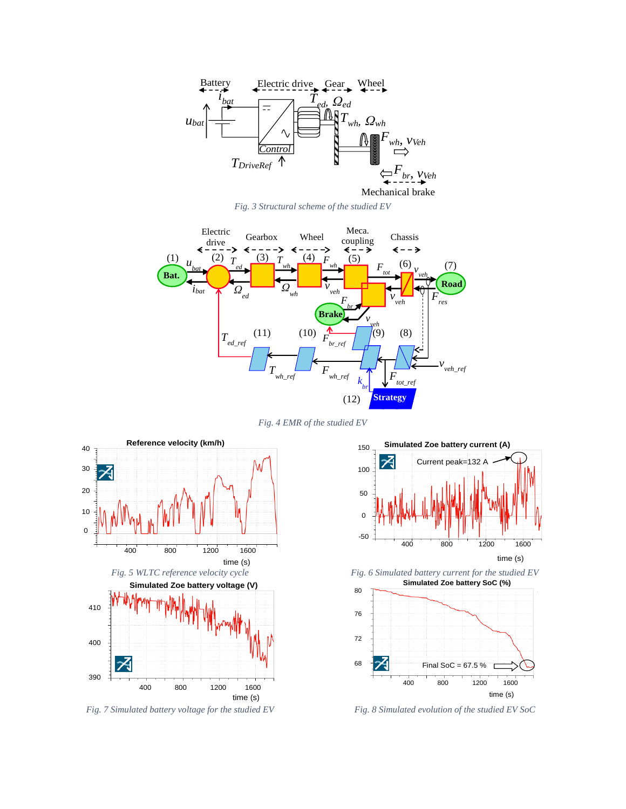

*Fig. 3 Structural scheme of the studied EV*

<span id="page-3-0"></span>

*Fig. 4 EMR of the studied EV*

<span id="page-3-2"></span><span id="page-3-1"></span>

*Fig. 7 Simulated battery voltage for the studied EV Fig. 8 Simulated evolution of the studied EV SoC*



<span id="page-3-4"></span><span id="page-3-3"></span>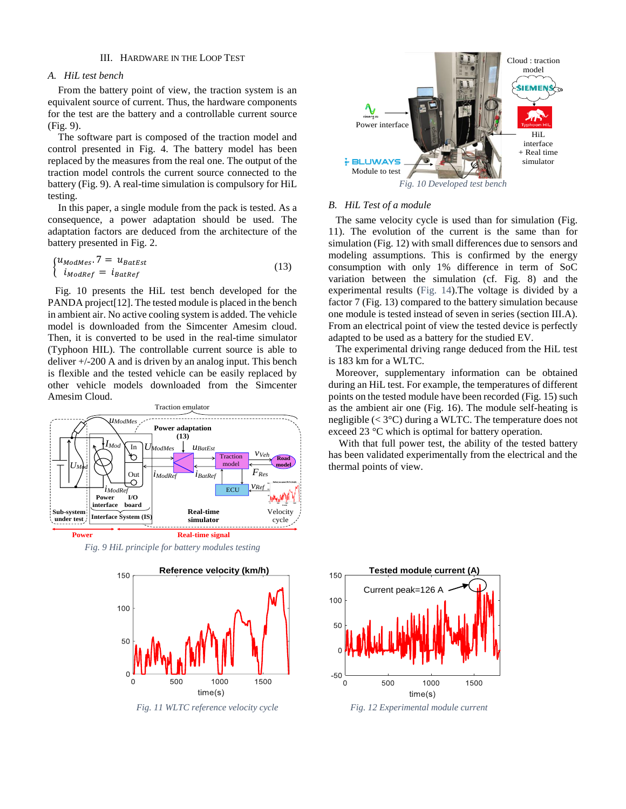#### III. HARDWARE IN THE LOOP TEST

#### <span id="page-4-4"></span>*A. HiL test bench*

From the battery point of view, the traction system is an equivalent source of current. Thus, the hardware components for the test are the battery and a controllable current source [\(Fig. 9\)](#page-4-0).

The software part is composed of the traction model and control presented in [Fig. 4.](#page-3-1) The battery model has been replaced by the measures from the real one. The output of the traction model controls the current source connected to the battery [\(Fig. 9\)](#page-4-0). A real-time simulation is compulsory for HiL testing.

In this paper, a single module from the pack is tested. As a consequence, a power adaptation should be used. The adaptation factors are deduced from the architecture of the battery presented in [Fig. 2.](#page-2-0)

$$
\begin{cases} u_{ModMes.} 7 = u_{BatEst} \\ i_{Mod Ref} = i_{BatRef} \end{cases} \tag{13}
$$

[Fig. 10](#page-4-1) presents the HiL test bench developed for the PANDA projec[t\[12\].](#page-6-0) The tested module is placed in the bench in ambient air. No active cooling system is added. The vehicle model is downloaded from the Simcenter Amesim cloud. Then, it is converted to be used in the real-time simulator (Typhoon HIL). The controllable current source is able to deliver  $+/-200$  A and is driven by an analog input. This bench is flexible and the tested vehicle can be easily replaced by other vehicle models downloaded from the Simcenter Amesim Cloud.



<span id="page-4-0"></span>*Fig. 9 HiL principle for battery modules testing*



<span id="page-4-2"></span>*Fig. 11 WLTC reference velocity cycle Fig. 12 Experimental module current*



#### <span id="page-4-1"></span>*B. HiL Test of a module*

The same velocity cycle is used than for simulation [\(Fig.](#page-4-2)  [11\)](#page-4-2). The evolution of the current is the same than for simulation [\(Fig. 12\)](#page-4-3) with small differences due to sensors and modeling assumptions. This is confirmed by the energy consumption with only 1% difference in term of SoC variation between the simulation (cf. [Fig. 8\)](#page-3-4) and the experimental results [\(Fig. 14\)](#page-5-11).The voltage is divided by a factor 7 [\(Fig. 13\)](#page-5-12) compared to the battery simulation because one module is tested instead of seven in series (sectio[n III.A\)](#page-4-4). From an electrical point of view the tested device is perfectly adapted to be used as a battery for the studied EV.

The experimental driving range deduced from the HiL test is 183 km for a WLTC.

Moreover, supplementary information can be obtained during an HiL test. For example, the temperatures of different points on the tested module have been recorded [\(Fig. 15\)](#page-5-13) such as the ambient air one [\(Fig. 16\)](#page-5-14). The module self-heating is negligible (< 3°C) during a WLTC. The temperature does not exceed 23 °C which is optimal for battery operation.

With that full power test, the ability of the tested battery has been validated experimentally from the electrical and the thermal points of view.



<span id="page-4-3"></span>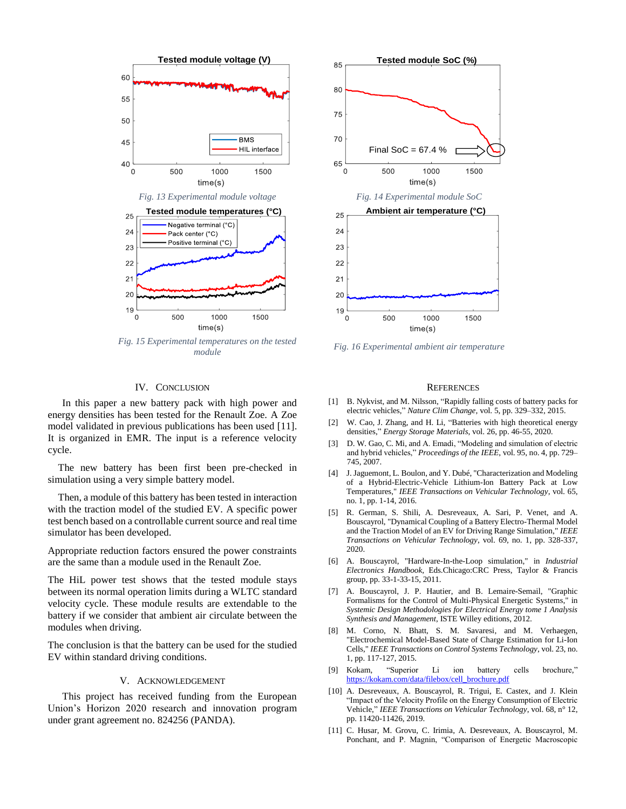<span id="page-5-12"></span>

<span id="page-5-13"></span>*Fig. 15 Experimental temperatures on the tested module Fig. 16 Experimental ambient air temperature*

#### IV. CONCLUSION

In this paper a new battery pack with high power and energy densities has been tested for the Renault Zoe. A Zoe model validated in previous publications has been used [\[11\].](#page-5-10) It is organized in EMR. The input is a reference velocity cycle.

The new battery has been first been pre-checked in simulation using a very simple battery model.

Then, a module of this battery has been tested in interaction with the traction model of the studied EV. A specific power test bench based on a controllable current source and real time simulator has been developed.

Appropriate reduction factors ensured the power constraints are the same than a module used in the Renault Zoe.

The HiL power test shows that the tested module stays between its normal operation limits during a WLTC standard velocity cycle. These module results are extendable to the battery if we consider that ambient air circulate between the modules when driving.

The conclusion is that the battery can be used for the studied EV within standard driving conditions.

#### V. ACKNOWLEDGEMENT

This project has received funding from the European Union's Horizon 2020 research and innovation program under grant agreement no. 824256 (PANDA).



<span id="page-5-14"></span><span id="page-5-11"></span>

#### **REFERENCES**

- <span id="page-5-0"></span>[1] B. Nykvist, and M. Nilsson, "Rapidly falling costs of battery packs for electric vehicles," *Nature Clim Change,* vol. 5, pp. 329–332, 2015.
- <span id="page-5-1"></span>[2] W. Cao, J. Zhang, and H. Li, "Batteries with high theoretical energy densities," *Energy Storage Materials*, vol. 26, pp. 46-55, 2020.
- <span id="page-5-2"></span>[3] D. W. Gao, C. Mi, and A. Emadi, "Modeling and simulation of electric and hybrid vehicles," *Proceedings of the IEEE*, vol. 95, no. 4, pp. 729– 745, 2007.
- <span id="page-5-3"></span>[4] J. Jaguemont, L. Boulon, and Y. Dubé, "Characterization and Modeling of a Hybrid-Electric-Vehicle Lithium-Ion Battery Pack at Low Temperatures," *IEEE Transactions on Vehicular Technology*, vol. 65, no. 1, pp. 1-14, 2016.
- <span id="page-5-4"></span>[5] R. German, S. Shili, A. Desreveaux, A. Sari, P. Venet, and A. Bouscayrol, "Dynamical Coupling of a Battery Electro-Thermal Model and the Traction Model of an EV for Driving Range Simulation," *IEEE Transactions on Vehicular Technology*, vol. 69, no. 1, pp. 328-337, 2020.
- <span id="page-5-5"></span>[6] A. Bouscayrol, "Hardware-In-the-Loop simulation," in *Industrial Electronics Handbook*, Eds.Chicago:CRC Press, Taylor & Francis group, pp. 33-1-33-15, 2011.
- <span id="page-5-6"></span>[7] A. Bouscayrol, J. P. Hautier, and B. Lemaire-Semail, "Graphic Formalisms for the Control of Multi-Physical Energetic Systems," in *Systemic Design Methodologies for Electrical Energy tome 1 Analysis Synthesis and Management*, ISTE Willey editions, 2012.
- <span id="page-5-7"></span>[8] M. Corno, N. Bhatt, S. M. Savaresi, and M. Verhaegen, "Electrochemical Model-Based State of Charge Estimation for Li-Ion Cells," *IEEE Transactions on Control Systems Technology*, vol. 23, no. 1, pp. 117-127, 2015.
- <span id="page-5-8"></span>[9] Kokam, "Superior Li ion battery cells brochure," [https://kokam.com/data/filebox/cell\\_brochure.pdf](https://kokam.com/data/filebox/cell_brochure.pdf)
- <span id="page-5-9"></span>[10] A. Desreveaux, A. Bouscayrol, R. Trigui, E. Castex, and J. Klein "Impact of the Velocity Profile on the Energy Consumption of Electric Vehicle," *IEEE Transactions on Vehicular Technology*, vol. 68, n° 12, pp. 11420-11426, 2019.
- <span id="page-5-10"></span>[11] C. Husar, M. Grovu, C. Irimia, A. Desreveaux, A. Bouscayrol, M. Ponchant, and P. Magnin, "Comparison of Energetic Macroscopic